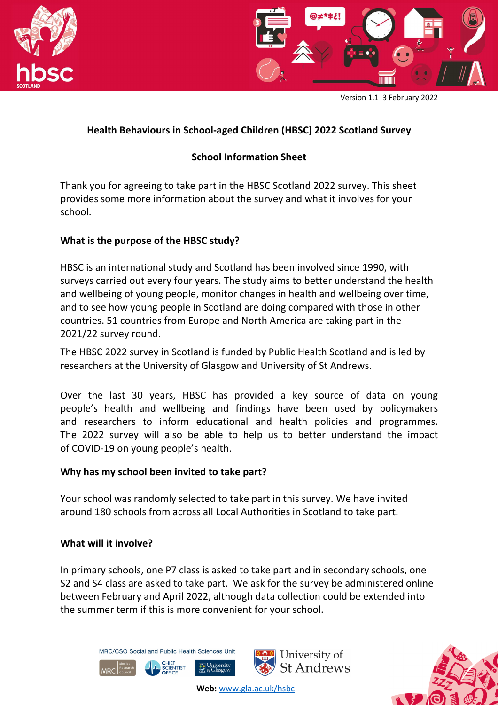



Version 1.1 3 February 2022

# **Health Behaviours in School-aged Children (HBSC) 2022 Scotland Survey**

# **School Information Sheet**

Thank you for agreeing to take part in the HBSC Scotland 2022 survey. This sheet provides some more information about the survey and what it involves for your school.

#### **What is the purpose of the HBSC study?**

HBSC is an international study and Scotland has been involved since 1990, with surveys carried out every four years. The study aims to better understand the health and wellbeing of young people, monitor changes in health and wellbeing over time, and to see how young people in Scotland are doing compared with those in other countries. 51 countries from Europe and North America are taking part in the 2021/22 survey round.

The HBSC 2022 survey in Scotland is funded by Public Health Scotland and is led by researchers at the University of Glasgow and University of St Andrews.

Over the last 30 years, HBSC has provided a key source of data on young people's health and wellbeing and findings have been used by policymakers and researchers to inform educational and health policies and programmes. The 2022 survey will also be able to help us to better understand the impact of COVID-19 on young people's health.

#### **Why has my school been invited to take part?**

Your school was randomly selected to take part in this survey. We have invited around 180 schools from across all Local Authorities in Scotland to take part.

#### **What will it involve?**

**MDC** 

In primary schools, one P7 class is asked to take part and in secondary schools, one S2 and S4 class are asked to take part. We ask for the survey be administered online between February and April 2022, although data collection could be extended into the summer term if this is more convenient for your school.



CHIEF<br>SCIENTIST



University of

St Andrews

**Web:** www.gla.ac.uk/hsbc

University<br>of Glasgow

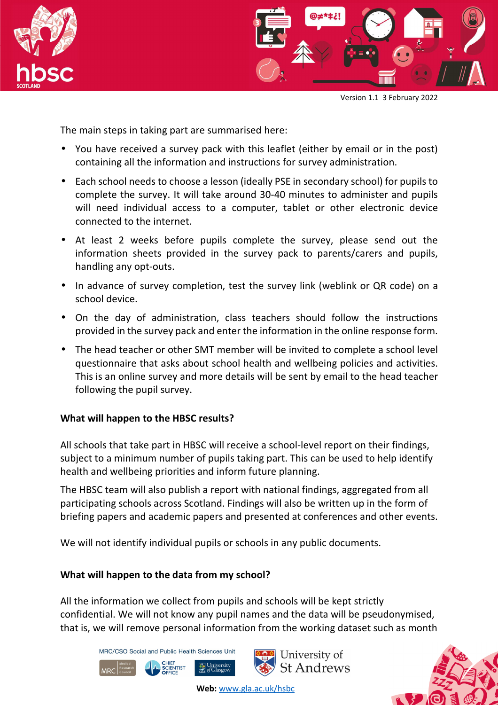



Version 1.1 3 February 2022

The main steps in taking part are summarised here:

- You have received a survey pack with this leaflet (either by email or in the post) containing all the information and instructions for survey administration.
- Each school needs to choose a lesson (ideally PSE in secondary school) for pupils to complete the survey. It will take around 30-40 minutes to administer and pupils will need individual access to a computer, tablet or other electronic device connected to the internet.
- At least 2 weeks before pupils complete the survey, please send out the information sheets provided in the survey pack to parents/carers and pupils, handling any opt-outs.
- In advance of survey completion, test the survey link (weblink or QR code) on a school device.
- On the day of administration, class teachers should follow the instructions provided in the survey pack and enter the information in the online response form.
- The head teacher or other SMT member will be invited to complete a school level questionnaire that asks about school health and wellbeing policies and activities. This is an online survey and more details will be sent by email to the head teacher following the pupil survey.

## **What will happen to the HBSC results?**

All schools that take part in HBSC will receive a school-level report on their findings, subject to a minimum number of pupils taking part. This can be used to help identify health and wellbeing priorities and inform future planning.

The HBSC team will also publish a report with national findings, aggregated from all participating schools across Scotland. Findings will also be written up in the form of briefing papers and academic papers and presented at conferences and other events.

We will not identify individual pupils or schools in any public documents.

## **What will happen to the data from my school?**

All the information we collect from pupils and schools will be kept strictly confidential. We will not know any pupil names and the data will be pseudonymised, that is, we will remove personal information from the working dataset such as month

MRC/CSO Social and Public Health Sciences Unit

MRC





**Web:** www.gla.ac.uk/hsbc